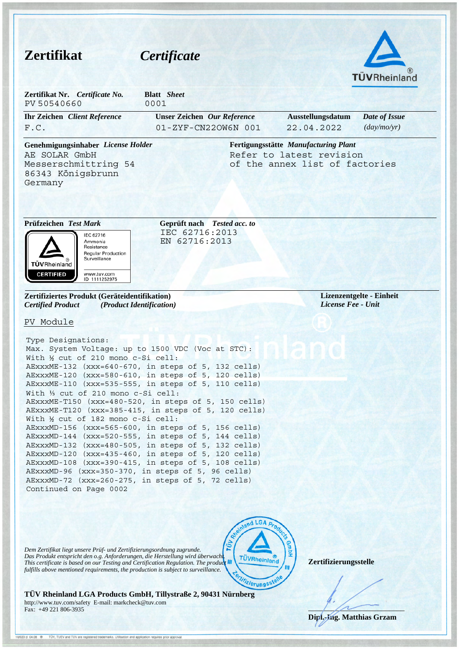| <b>Zertifikat</b>                                                                                                                                     | Certificate                                                                                                                                                                                                                                                                       |                                                                                                    |
|-------------------------------------------------------------------------------------------------------------------------------------------------------|-----------------------------------------------------------------------------------------------------------------------------------------------------------------------------------------------------------------------------------------------------------------------------------|----------------------------------------------------------------------------------------------------|
|                                                                                                                                                       |                                                                                                                                                                                                                                                                                   | TÜVRheinland                                                                                       |
| Zertifikat Nr. Certificate No.<br>PV 50540660                                                                                                         | <b>Blatt</b> Sheet<br>0001                                                                                                                                                                                                                                                        |                                                                                                    |
| <b>Ihr Zeichen</b> Client Reference<br>F.C.                                                                                                           | <b>Unser Zeichen</b> Our Reference<br>01-ZYF-CN22OW6N 001                                                                                                                                                                                                                         | Ausstellungsdatum<br>Date of Issue<br>(day/mo/yr)<br>22.04.2022                                    |
| Genehmigungsinhaber License Holder<br>AE SOLAR GmbH<br>Messerschmittring 54<br>86343 Königsbrunn<br>Germany                                           |                                                                                                                                                                                                                                                                                   | Fertigungsstätte Manufacturing Plant<br>Refer to latest revision<br>of the annex list of factories |
| Prüfzeichen Test Mark<br>IEC 62716<br>Ammonia<br>Resistance<br><b>Regular Production</b><br>Surveillance<br><b>TÜVRheinland</b>                       | Geprüft nach Tested acc. to<br>IEC 62716:2013<br>EN 62716:2013                                                                                                                                                                                                                    |                                                                                                    |
| <b>CERTIFIED</b><br>www.tuv.com<br>ID 1111252975<br>Zertifiziertes Produkt (Geräteidentifikation)                                                     |                                                                                                                                                                                                                                                                                   | Lizenzentgelte - Einheit                                                                           |
| <b>Certified Product</b><br>(Product Identification)<br>PV Module                                                                                     |                                                                                                                                                                                                                                                                                   | License Fee - Unit                                                                                 |
| Type Designations:<br>Max. System Voltage: up to 1500 VDC (Voc at STC):<br>With 1/2 cut of 210 mono c-Si cell:<br>With 1/3 cut of 210 mono c-Si cell: | AEXXXME-132 (XXX=640-670, in steps of 5, 132 cells)<br>AExxxME-120 (xxx=580-610, in steps of 5, 120 cells)<br>AEXXXME-110 (XXX=535-555, in steps of 5, 110 cells)<br>AEXXXME-T150 (XXX=480-520, in steps of 5, 150 cells)<br>AEXXXME-T120 (XXX=385-415, in steps of 5, 120 cells) |                                                                                                    |

*Dem Zertifikat liegt unsere Prüf- und Zertifizierungsordnung zugrunde. Das Produkt entspricht den o.g. Anforderungen, die Herstellung wird überwacht. This certificate is based on our Testing and Certification Regulation. The product*  fulfills above mentioned requirements, the production is subject to surveillance.

10/020 d 04.08 <sup>®</sup> TÜV, TUEV and TUV are registered trademarks. Utilisation and application requires prior approval



**Zertifizierungsstelle**

**TÜV Rheinland LGA Products GmbH, Tillystraße 2, 90431 Nürnberg**  http://www.tuv.com/safety E-mail: markcheck@tuv.com Fax: +49 221 806-3935

 $\sqrt{1-\frac{1}{2}}$ **Dipl.-Ing. Matthias Grzam**